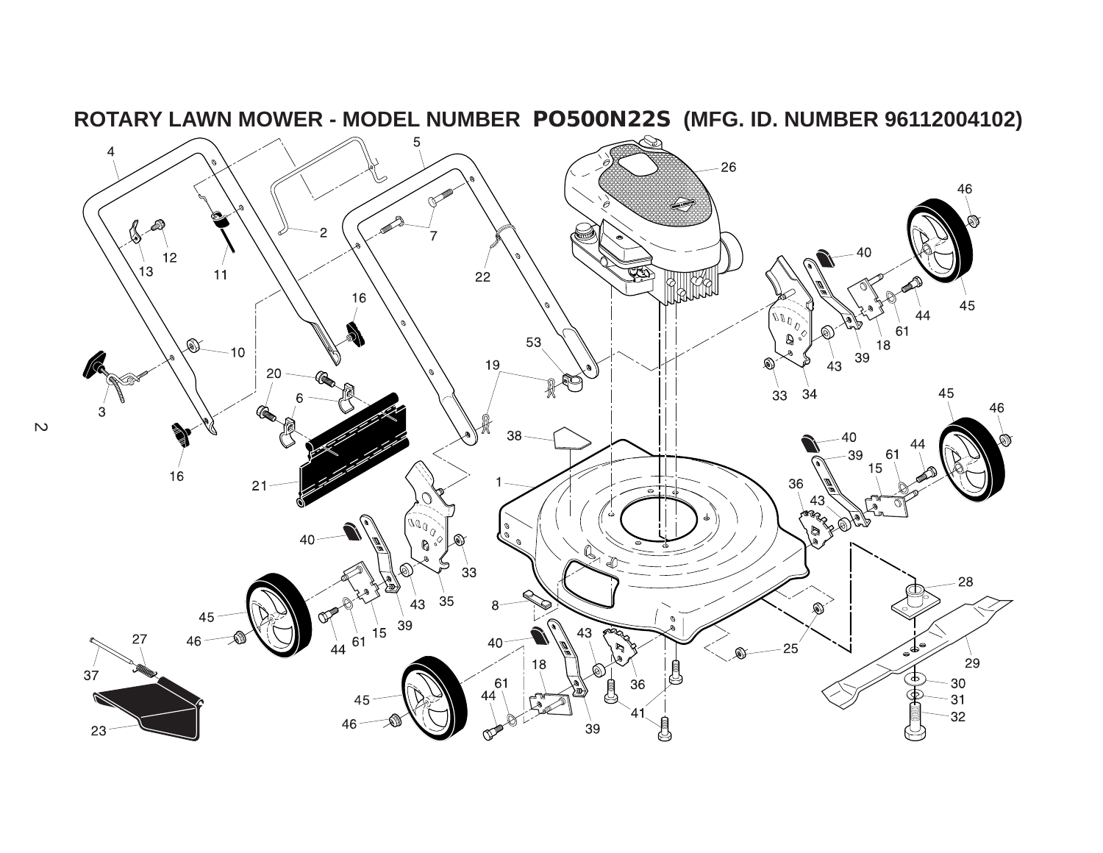

**ROTARY LAWN MOWER - MODEL NUMBER PO500N22S (MFG. ID. NUMBER 96112004102)**